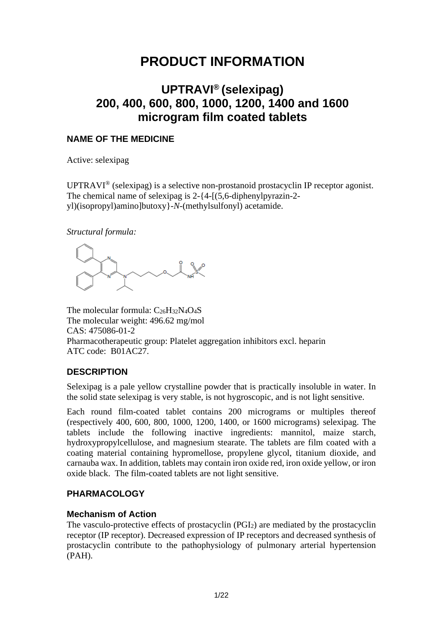# **PRODUCT INFORMATION**

# **UPTRAVI® (selexipag) 200, 400, 600, 800, 1000, 1200, 1400 and 1600 microgram film coated tablets**

# **NAME OF THE MEDICINE**

Active: selexipag

UPTRAVI® (selexipag) is a selective non-prostanoid prostacyclin IP receptor agonist. The chemical name of selexipag is 2-{4-[(5,6-diphenylpyrazin-2 yl)(isopropyl)amino]butoxy}-*N*-(methylsulfonyl) acetamide.

*Structural formula:*

The molecular formula: C<sub>26</sub>H<sub>32</sub>N<sub>4</sub>O<sub>4</sub>S The molecular weight: 496.62 mg/mol CAS: 475086-01-2 Pharmacotherapeutic group: Platelet aggregation inhibitors excl. heparin ATC code: B01AC27.

# **DESCRIPTION**

Selexipag is a pale yellow crystalline powder that is practically insoluble in water. In the solid state selexipag is very stable, is not hygroscopic, and is not light sensitive.

Each round film-coated tablet contains 200 micrograms or multiples thereof (respectively 400, 600, 800, 1000, 1200, 1400, or 1600 micrograms) selexipag. The tablets include the following inactive ingredients: mannitol, maize starch, hydroxypropylcellulose, and magnesium stearate. The tablets are film coated with a coating material containing hypromellose, propylene glycol, titanium dioxide, and carnauba wax. In addition, tablets may contain iron oxide red, iron oxide yellow, or iron oxide black. The film-coated tablets are not light sensitive.

# **PHARMACOLOGY**

# **Mechanism of Action**

The vasculo-protective effects of prostacyclin (PGI2) are mediated by the prostacyclin receptor (IP receptor). Decreased expression of IP receptors and decreased synthesis of prostacyclin contribute to the pathophysiology of pulmonary arterial hypertension (PAH).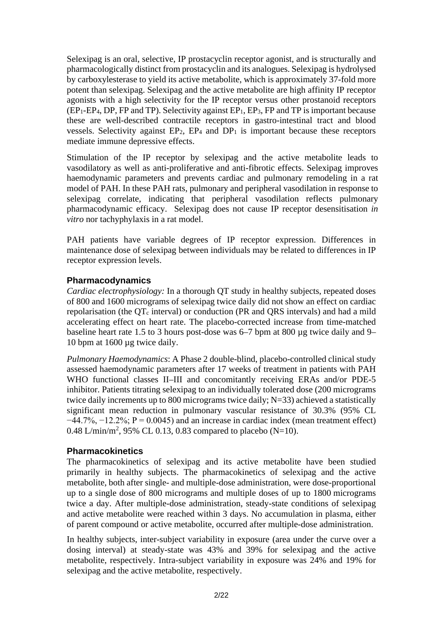Selexipag is an oral, selective, IP prostacyclin receptor agonist, and is structurally and pharmacologically distinct from prostacyclin and its analogues. Selexipag is hydrolysed by carboxylesterase to yield its active metabolite, which is approximately 37-fold more potent than selexipag. Selexipag and the active metabolite are high affinity IP receptor agonists with a high selectivity for the IP receptor versus other prostanoid receptors  $(EP_1-EP_4, DP, FP$  and TP). Selectivity against  $EP_1, EP_3$ , FP and TP is important because these are well-described contractile receptors in gastro-intestinal tract and blood vessels. Selectivity against  $EP_2$ ,  $EP_4$  and  $DP_1$  is important because these receptors mediate immune depressive effects.

Stimulation of the IP receptor by selexipag and the active metabolite leads to vasodilatory as well as anti-proliferative and anti-fibrotic effects. Selexipag improves haemodynamic parameters and prevents cardiac and pulmonary remodeling in a rat model of PAH. In these PAH rats, pulmonary and peripheral vasodilation in response to selexipag correlate, indicating that peripheral vasodilation reflects pulmonary pharmacodynamic efficacy. Selexipag does not cause IP receptor desensitisation *in vitro* nor tachyphylaxis in a rat model.

PAH patients have variable degrees of IP receptor expression. Differences in maintenance dose of selexipag between individuals may be related to differences in IP receptor expression levels.

# **Pharmacodynamics**

*Cardiac electrophysiology:* In a thorough QT study in healthy subjects, repeated doses of 800 and 1600 micrograms of selexipag twice daily did not show an effect on cardiac repolarisation (the  $QT_c$  interval) or conduction (PR and QRS intervals) and had a mild accelerating effect on heart rate. The placebo-corrected increase from time-matched baseline heart rate 1.5 to 3 hours post-dose was 6–7 bpm at 800 µg twice daily and 9– 10 bpm at 1600 µg twice daily.

*Pulmonary Haemodynamics*: A Phase 2 double-blind, placebo-controlled clinical study assessed haemodynamic parameters after 17 weeks of treatment in patients with PAH WHO functional classes II–III and concomitantly receiving ERAs and/or PDE-5 inhibitor. Patients titrating selexipag to an individually tolerated dose (200 micrograms twice daily increments up to 800 micrograms twice daily; N=33) achieved a statistically significant mean reduction in pulmonary vascular resistance of 30.3% (95% CL  $-44.7\%$ ,  $-12.2\%$ ; P = 0.0045) and an increase in cardiac index (mean treatment effect) 0.48 L/min/m<sup>2</sup>, 95% CL 0.13, 0.83 compared to placebo (N=10).

# **Pharmacokinetics**

The pharmacokinetics of selexipag and its active metabolite have been studied primarily in healthy subjects. The pharmacokinetics of selexipag and the active metabolite, both after single- and multiple-dose administration, were dose-proportional up to a single dose of 800 micrograms and multiple doses of up to 1800 micrograms twice a day. After multiple-dose administration, steady-state conditions of selexipag and active metabolite were reached within 3 days. No accumulation in plasma, either of parent compound or active metabolite, occurred after multiple-dose administration.

In healthy subjects, inter-subject variability in exposure (area under the curve over a dosing interval) at steady-state was 43% and 39% for selexipag and the active metabolite, respectively. Intra-subject variability in exposure was 24% and 19% for selexipag and the active metabolite, respectively.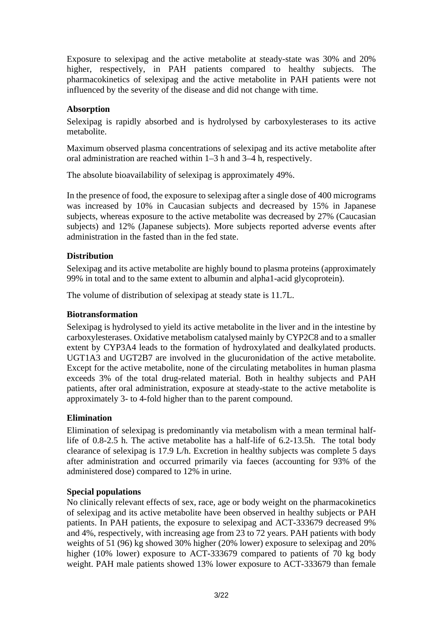Exposure to selexipag and the active metabolite at steady-state was 30% and 20% higher, respectively, in PAH patients compared to healthy subjects. The pharmacokinetics of selexipag and the active metabolite in PAH patients were not influenced by the severity of the disease and did not change with time.

# **Absorption**

Selexipag is rapidly absorbed and is hydrolysed by carboxylesterases to its active metabolite.

Maximum observed plasma concentrations of selexipag and its active metabolite after oral administration are reached within 1–3 h and 3–4 h, respectively.

The absolute bioavailability of selexipag is approximately 49%.

In the presence of food, the exposure to selexipag after a single dose of 400 micrograms was increased by 10% in Caucasian subjects and decreased by 15% in Japanese subjects, whereas exposure to the active metabolite was decreased by 27% (Caucasian subjects) and 12% (Japanese subjects). More subjects reported adverse events after administration in the fasted than in the fed state.

## **Distribution**

Selexipag and its active metabolite are highly bound to plasma proteins (approximately 99% in total and to the same extent to albumin and alpha1-acid glycoprotein).

The volume of distribution of selexipag at steady state is 11.7L.

## **Biotransformation**

Selexipag is hydrolysed to yield its active metabolite in the liver and in the intestine by carboxylesterases. Oxidative metabolism catalysed mainly by CYP2C8 and to a smaller extent by CYP3A4 leads to the formation of hydroxylated and dealkylated products. UGT1A3 and UGT2B7 are involved in the glucuronidation of the active metabolite. Except for the active metabolite, none of the circulating metabolites in human plasma exceeds 3% of the total drug-related material. Both in healthy subjects and PAH patients, after oral administration, exposure at steady-state to the active metabolite is approximately 3- to 4-fold higher than to the parent compound.

## **Elimination**

Elimination of selexipag is predominantly via metabolism with a mean terminal halflife of 0.8-2.5 h. The active metabolite has a half-life of 6.2-13.5h. The total body clearance of selexipag is 17.9 L/h. Excretion in healthy subjects was complete 5 days after administration and occurred primarily via faeces (accounting for 93% of the administered dose) compared to 12% in urine.

## **Special populations**

No clinically relevant effects of sex, race, age or body weight on the pharmacokinetics of selexipag and its active metabolite have been observed in healthy subjects or PAH patients. In PAH patients, the exposure to selexipag and ACT-333679 decreased 9% and 4%, respectively, with increasing age from 23 to 72 years. PAH patients with body weights of 51 (96) kg showed 30% higher (20% lower) exposure to selexipag and 20% higher (10% lower) exposure to ACT-333679 compared to patients of 70 kg body weight. PAH male patients showed 13% lower exposure to ACT-333679 than female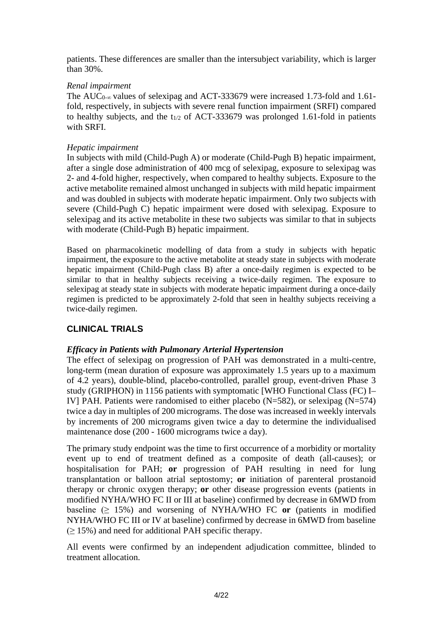patients. These differences are smaller than the intersubject variability, which is larger than 30%.

## *Renal impairment*

The AUC<sub>0-∞</sub> values of selexipag and ACT-333679 were increased 1.73-fold and 1.61fold, respectively, in subjects with severe renal function impairment (SRFI) compared to healthy subjects, and the  $t_{1/2}$  of ACT-333679 was prolonged 1.61-fold in patients with SRFI.

## *Hepatic impairment*

In subjects with mild (Child-Pugh A) or moderate (Child-Pugh B) hepatic impairment, after a single dose administration of 400 mcg of selexipag, exposure to selexipag was 2- and 4-fold higher, respectively, when compared to healthy subjects. Exposure to the active metabolite remained almost unchanged in subjects with mild hepatic impairment and was doubled in subjects with moderate hepatic impairment. Only two subjects with severe (Child-Pugh C) hepatic impairment were dosed with selexipag. Exposure to selexipag and its active metabolite in these two subjects was similar to that in subjects with moderate (Child-Pugh B) hepatic impairment.

Based on pharmacokinetic modelling of data from a study in subjects with hepatic impairment, the exposure to the active metabolite at steady state in subjects with moderate hepatic impairment (Child-Pugh class B) after a once-daily regimen is expected to be similar to that in healthy subjects receiving a twice-daily regimen. The exposure to selexipag at steady state in subjects with moderate hepatic impairment during a once-daily regimen is predicted to be approximately 2-fold that seen in healthy subjects receiving a twice-daily regimen.

# **CLINICAL TRIALS**

# *Efficacy in Patients with Pulmonary Arterial Hypertension*

The effect of selexipag on progression of PAH was demonstrated in a multi-centre, long-term (mean duration of exposure was approximately 1.5 years up to a maximum of 4.2 years), double-blind, placebo-controlled, parallel group, event-driven Phase 3 study (GRIPHON) in 1156 patients with symptomatic [WHO Functional Class (FC) I– IV] PAH. Patients were randomised to either placebo (N=582), or selexipag (N=574) twice a day in multiples of 200 micrograms. The dose was increased in weekly intervals by increments of 200 micrograms given twice a day to determine the individualised maintenance dose (200 - 1600 micrograms twice a day).

The primary study endpoint was the time to first occurrence of a morbidity or mortality event up to end of treatment defined as a composite of death (all-causes); or hospitalisation for PAH; **or** progression of PAH resulting in need for lung transplantation or balloon atrial septostomy; **or** initiation of parenteral prostanoid therapy or chronic oxygen therapy; **or** other disease progression events (patients in modified NYHA/WHO FC II or III at baseline) confirmed by decrease in 6MWD from baseline  $(≥ 15%)$  and worsening of NYHA/WHO FC or (patients in modified NYHA/WHO FC III or IV at baseline) confirmed by decrease in 6MWD from baseline  $(≥ 15%)$  and need for additional PAH specific therapy.

All events were confirmed by an independent adjudication committee, blinded to treatment allocation.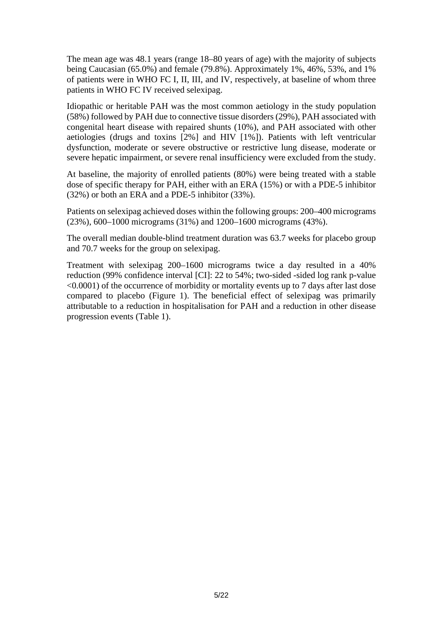The mean age was 48.1 years (range 18–80 years of age) with the majority of subjects being Caucasian (65.0%) and female (79.8%). Approximately 1%, 46%, 53%, and 1% of patients were in WHO FC I, II, III, and IV, respectively, at baseline of whom three patients in WHO FC IV received selexipag.

Idiopathic or heritable PAH was the most common aetiology in the study population (58%) followed by PAH due to connective tissue disorders (29%), PAH associated with congenital heart disease with repaired shunts (10%), and PAH associated with other aetiologies (drugs and toxins [2%] and HIV [1%]). Patients with left ventricular dysfunction, moderate or severe obstructive or restrictive lung disease, moderate or severe hepatic impairment, or severe renal insufficiency were excluded from the study.

At baseline, the majority of enrolled patients (80%) were being treated with a stable dose of specific therapy for PAH, either with an ERA (15%) or with a PDE-5 inhibitor (32%) or both an ERA and a PDE-5 inhibitor (33%).

Patients on selexipag achieved doses within the following groups: 200–400 micrograms (23%), 600–1000 micrograms (31%) and 1200–1600 micrograms (43%).

The overall median double-blind treatment duration was 63.7 weeks for placebo group and 70.7 weeks for the group on selexipag.

Treatment with selexipag 200–1600 micrograms twice a day resulted in a 40% reduction (99% confidence interval [CI]: 22 to 54%; two-sided -sided log rank p-value <0.0001) of the occurrence of morbidity or mortality events up to 7 days after last dose compared to placebo (Figure 1). The beneficial effect of selexipag was primarily attributable to a reduction in hospitalisation for PAH and a reduction in other disease progression events (Table 1).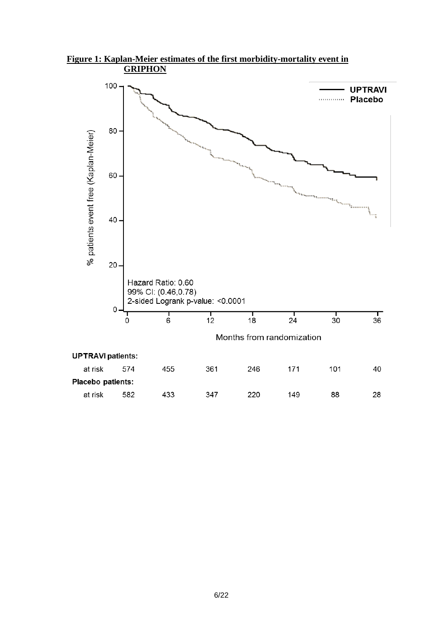

**Figure 1: Kaplan-Meier estimates of the first morbidity-mortality event in GRIPHON**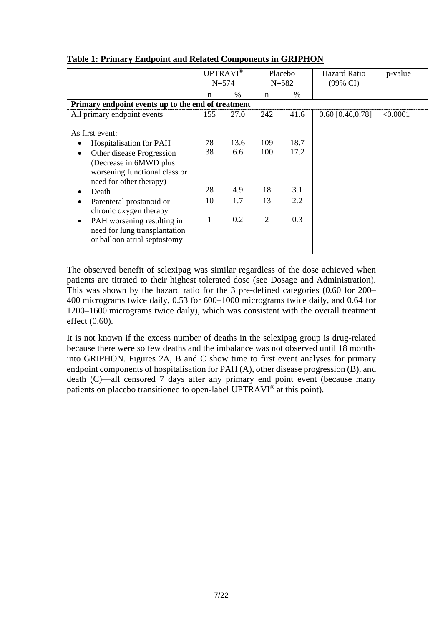|                                                                                                                                                                                                                                                                                                                                                                   | UPTRAVI®<br>$N = 574$     |                                  | Placebo<br>$N = 582$                     |                                   | <b>Hazard Ratio</b><br>(99% CI) | p-value  |  |
|-------------------------------------------------------------------------------------------------------------------------------------------------------------------------------------------------------------------------------------------------------------------------------------------------------------------------------------------------------------------|---------------------------|----------------------------------|------------------------------------------|-----------------------------------|---------------------------------|----------|--|
|                                                                                                                                                                                                                                                                                                                                                                   | n                         | $\%$                             | n                                        | $\%$                              |                                 |          |  |
| Primary endpoint events up to the end of treatment                                                                                                                                                                                                                                                                                                                |                           |                                  |                                          |                                   |                                 |          |  |
| All primary endpoint events                                                                                                                                                                                                                                                                                                                                       | 155                       | 27.0                             | 242                                      | 41.6                              | $0.60$ [0.46,0.78]              | < 0.0001 |  |
| As first event:<br><b>Hospitalisation for PAH</b><br>Other disease Progression<br>٠<br>(Decrease in 6MWD plus<br>worsening functional class or<br>need for other therapy)<br>Death<br>Parenteral prostanoid or<br>$\bullet$<br>chronic oxygen therapy<br>PAH worsening resulting in<br>$\bullet$<br>need for lung transplantation<br>or balloon atrial septostomy | 78<br>38<br>28<br>10<br>1 | 13.6<br>6.6<br>4.9<br>1.7<br>0.2 | 109<br>100<br>18<br>13<br>$\overline{2}$ | 18.7<br>17.2<br>3.1<br>2.2<br>0.3 |                                 |          |  |

# **Table 1: Primary Endpoint and Related Components in GRIPHON**

The observed benefit of selexipag was similar regardless of the dose achieved when patients are titrated to their highest tolerated dose (see Dosage and Administration). This was shown by the hazard ratio for the 3 pre-defined categories (0.60 for 200– 400 micrograms twice daily, 0.53 for 600–1000 micrograms twice daily, and 0.64 for 1200–1600 micrograms twice daily), which was consistent with the overall treatment effect (0.60).

It is not known if the excess number of deaths in the selexipag group is drug-related because there were so few deaths and the imbalance was not observed until 18 months into GRIPHON. Figures 2A, B and C show time to first event analyses for primary endpoint components of hospitalisation for PAH (A), other disease progression (B), and death (C)—all censored 7 days after any primary end point event (because many patients on placebo transitioned to open-label UPTRAVI® at this point).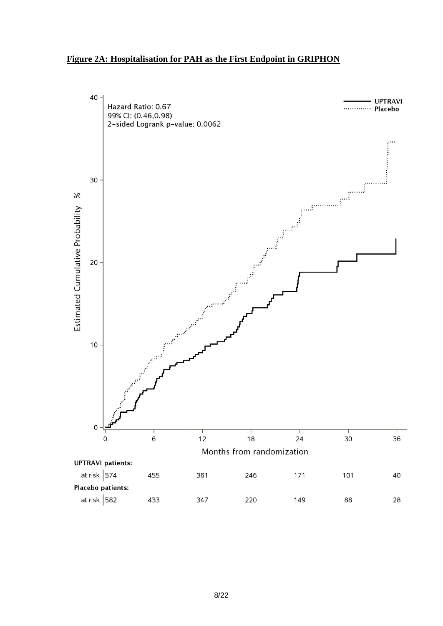## **Figure 2A: Hospitalisation for PAH as the First Endpoint in GRIPHON**

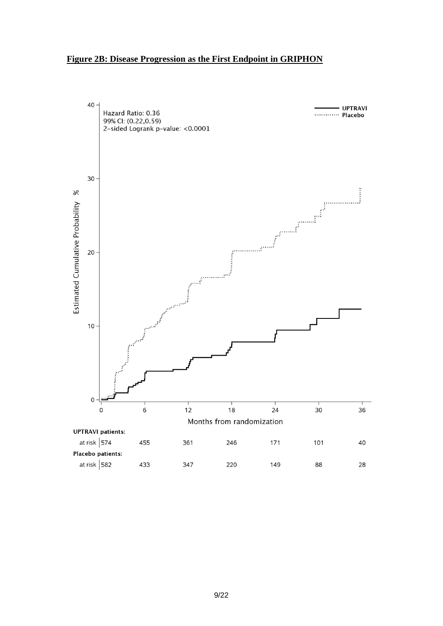#### **Figure 2B: Disease Progression as the First Endpoint in GRIPHON**

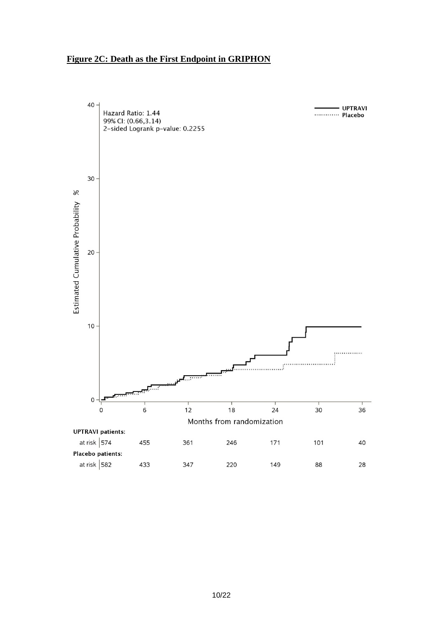## **Figure 2C: Death as the First Endpoint in GRIPHON**

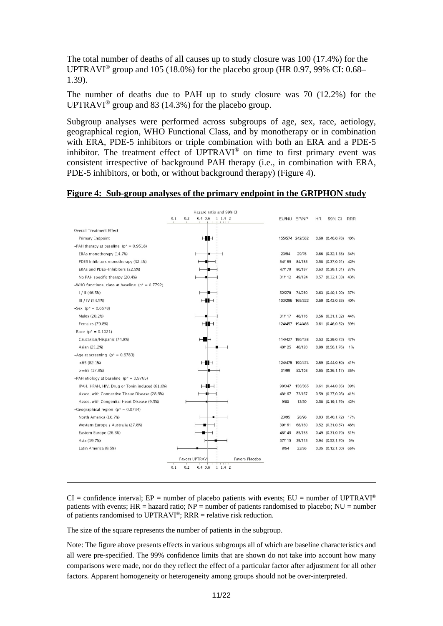The total number of deaths of all causes up to study closure was 100 (17.4%) for the UPTRAVI<sup>®</sup> group and 105 (18.0%) for the placebo group (HR 0.97, 99% CI: 0.68– 1.39).

The number of deaths due to PAH up to study closure was 70 (12.2%) for the UPTRAVI<sup>®</sup> group and 83 (14.3%) for the placebo group.

Subgroup analyses were performed across subgroups of age, sex, race, aetiology, geographical region, WHO Functional Class, and by monotherapy or in combination with ERA, PDE-5 inhibitors or triple combination with both an ERA and a PDE-5 inhibitor. The treatment effect of UPTRAVI® on time to first primary event was consistent irrespective of background PAH therapy (i.e., in combination with ERA, PDE-5 inhibitors, or both, or without background therapy) (Figure 4).

|                                                      |     |     | Hazard ratio and 99% CI |                |        |                 |           |                       |            |
|------------------------------------------------------|-----|-----|-------------------------|----------------|--------|-----------------|-----------|-----------------------|------------|
|                                                      | 0.1 | 0.2 | $0.4$ 0.6 1 1.4 2       |                |        | EU/NU EP/NP     | <b>HR</b> | 99% CI                | <b>RRR</b> |
| <b>Overall Treatment Effect</b>                      |     |     |                         |                |        |                 |           |                       |            |
| Primary Endpoint                                     |     |     | HH                      |                |        | 155/574 242/582 |           | 0.60 (0.46,0.78) 40%  |            |
| -PAH therapy at baseline ( $p^* = 0.9518$ )          |     |     |                         |                |        |                 |           |                       |            |
| ERAs monotherapy (14.7%)                             |     |     |                         |                | 23/94  | 29/76           |           | 0.66 (0.32,1.35) 34%  |            |
| PDE5 Inhibitors monotherapy (32.4%)                  |     |     |                         |                | 54/189 | 84/185          |           | 0.58 (0.37,0.91) 42%  |            |
| ERAs and PDE5-Inhibitors (32.5%)                     |     |     |                         |                | 47/179 | 80/197          |           | 0.63 (0.39,1.01) 37%  |            |
| No PAH specific therapy (20.4%)                      |     |     |                         |                | 31/112 | 49/124          |           | 0.57 (0.32,1.03) 43%  |            |
| -WHO functional class at baseline ( $p^* = 0.7792$ ) |     |     |                         |                |        |                 |           |                       |            |
| 1/11(46.5%)                                          |     |     |                         |                | 52/278 | 74/260          |           | $0.63$ $(0.40, 1.00)$ | 37%        |
| III / IV (53.5%)                                     |     |     | $\vdash \blacksquare$   |                |        | 103/296 168/322 |           | 0.60 (0.43,0.83) 40%  |            |
| $-$ Sex ( $p^*$ = 0.6578)                            |     |     |                         |                |        |                 |           |                       |            |
| Males (20.2%)                                        |     |     |                         |                | 31/117 | 48/116          |           | $0.56$ $(0.31, 1.02)$ | 44%        |
| Females (79.8%)                                      |     |     | $\mathsf{H}\mathsf{H}$  |                |        | 124/457 194/466 |           | 0.61 (0.46,0.82) 39%  |            |
| $-$ Race ( $p^* = 0.1021$ )                          |     |     |                         |                |        |                 |           |                       |            |
| Caucasian/Hispanic (74.8%)                           |     |     | ⊢∎⊣                     |                |        | 114/427 196/438 |           | $0.53$ $(0.39, 0.72)$ | 47%        |
| Asian (21.2%)                                        |     |     |                         |                | 40/125 | 40/120          |           | $0.99$ $(0.56, 1.76)$ | 1%         |
| -Age at screening ( $p^* = 0.6783$ )                 |     |     |                         |                |        |                 |           |                       |            |
| $<$ 65 (82.1%)                                       |     |     | HH                      |                |        | 124/475 190/474 |           | 0.59 (0.44,0.80) 41%  |            |
| $>= 65(17.9%)$                                       |     |     |                         |                | 31/99  | 52/108          |           | 0.65 (0.36,1.17) 35%  |            |
| -PAH etiology at baseline ( $p^* = 0.9765$ )         |     |     |                         |                |        |                 |           |                       |            |
| IPAH, HPAH, HIV, Drug or Toxin induced (61.6%)       |     |     | ⊣∎⊣                     |                | 98/347 | 156/365         |           | 0.61 (0.44,0.86) 39%  |            |
| Assoc. with Connective Tissue Disease (28.9%)        |     |     |                         |                | 48/167 | 73/167          |           | 0.59 (0.37,0.96) 41%  |            |
| Assoc. with Congenital Heart Disease (9.5%)          |     |     |                         |                | 9/60   | 13/50           |           | 0.58 (0.19,1.79) 42%  |            |
| -Geographical region ( $p^* = 0.0734$ )              |     |     |                         |                |        |                 |           |                       |            |
| North America (16.7%)                                |     |     |                         |                | 23/95  | 28/98           |           | 0.83 (0.40,1.72) 17%  |            |
| Western Europe / Australia (27.8%)                   |     |     |                         |                | 39/161 | 68/160          |           | $0.52$ $(0.31, 0.87)$ | 48%        |
| Eastern Europe (26.3%)                               |     |     |                         |                | 48/149 | 85/155          |           | 0.49 (0.31,0.79) 51%  |            |
| Asia (19.7%)                                         |     |     |                         |                | 37/115 | 39/113          |           | $0.94$ $(0.52, 1.70)$ | 6%         |
| Latin America (9.5%)                                 |     |     |                         |                | 8/54   | 22/56           |           | 0.35 (0.12,1.00) 65%  |            |
|                                                      |     |     | <b>Favors UPTRAV</b>    | Favors Placebo |        |                 |           |                       |            |
|                                                      | 0.1 | 0.2 | $0.4\;0.6$<br>1 1.4 2   |                |        |                 |           |                       |            |
|                                                      |     |     |                         |                |        |                 |           |                       |            |

#### **Figure 4: Sub-group analyses of the primary endpoint in the GRIPHON study**

 $CI =$  confidence interval;  $EP =$  number of placebo patients with events;  $EU =$  number of UPTRAVI® patients with events;  $HR =$  hazard ratio;  $NP =$  number of patients randomised to placebo;  $NU =$  number of patients randomised to UPTRAVI®; RRR = relative risk reduction.

The size of the square represents the number of patients in the subgroup.

Note: The figure above presents effects in various subgroups all of which are baseline characteristics and all were pre-specified. The 99% confidence limits that are shown do not take into account how many comparisons were made, nor do they reflect the effect of a particular factor after adjustment for all other factors. Apparent homogeneity or heterogeneity among groups should not be over-interpreted.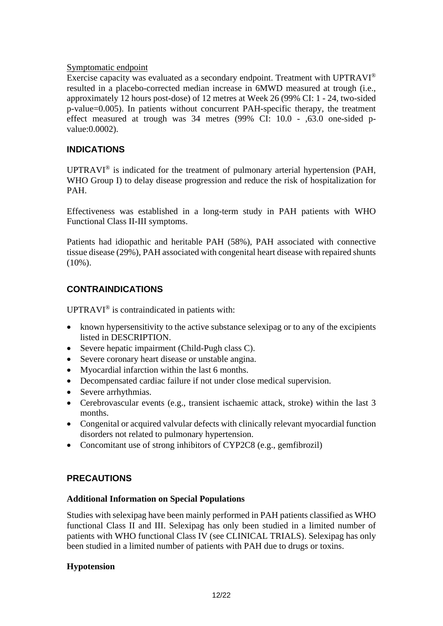# Symptomatic endpoint

Exercise capacity was evaluated as a secondary endpoint. Treatment with UPTRAVI® resulted in a placebo-corrected median increase in 6MWD measured at trough (i.e., approximately 12 hours post-dose) of 12 metres at Week 26 (99% CI: 1 - 24, two-sided p-value=0.005). In patients without concurrent PAH-specific therapy, the treatment effect measured at trough was 34 metres (99% CI: 10.0 - ,63.0 one-sided pvalue:0.0002).

# **INDICATIONS**

UPTRAVI<sup>®</sup> is indicated for the treatment of pulmonary arterial hypertension (PAH, WHO Group I) to delay disease progression and reduce the risk of hospitalization for PAH.

Effectiveness was established in a long-term study in PAH patients with WHO Functional Class II-III symptoms.

Patients had idiopathic and heritable PAH (58%), PAH associated with connective tissue disease (29%), PAH associated with congenital heart disease with repaired shunts (10%).

# **CONTRAINDICATIONS**

UPTRAVI® is contraindicated in patients with:

- known hypersensitivity to the active substance selexipag or to any of the excipients listed in DESCRIPTION.
- Severe hepatic impairment (Child-Pugh class C).
- Severe coronary heart disease or unstable angina.
- Myocardial infarction within the last 6 months.
- Decompensated cardiac failure if not under close medical supervision.
- Severe arrhythmias.
- Cerebrovascular events (e.g., transient ischaemic attack, stroke) within the last 3 months.
- Congenital or acquired valvular defects with clinically relevant myocardial function disorders not related to pulmonary hypertension.
- Concomitant use of strong inhibitors of CYP2C8 (e.g., gemfibrozil)

# **PRECAUTIONS**

# **Additional Information on Special Populations**

Studies with selexipag have been mainly performed in PAH patients classified as WHO functional Class II and III. Selexipag has only been studied in a limited number of patients with WHO functional Class IV (see CLINICAL TRIALS). Selexipag has only been studied in a limited number of patients with PAH due to drugs or toxins.

# **Hypotension**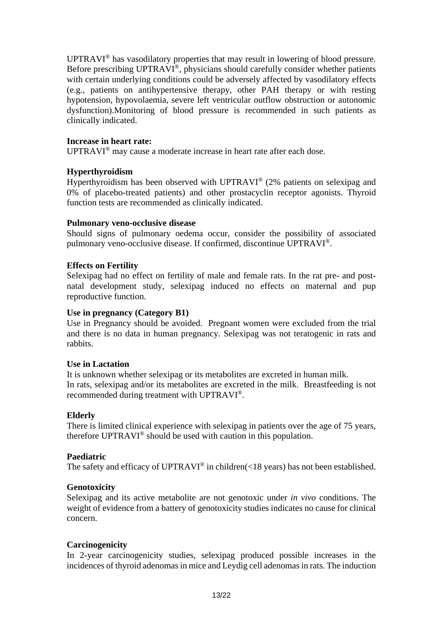UPTRAVI® has vasodilatory properties that may result in lowering of blood pressure. Before prescribing UPTRAVI®, physicians should carefully consider whether patients with certain underlying conditions could be adversely affected by vasodilatory effects (e.g., patients on antihypertensive therapy, other PAH therapy or with resting hypotension, hypovolaemia, severe left ventricular outflow obstruction or autonomic dysfunction).Monitoring of blood pressure is recommended in such patients as clinically indicated.

## **Increase in heart rate:**

UPTRAVI® may cause a moderate increase in heart rate after each dose.

## **Hyperthyroidism**

Hyperthyroidism has been observed with UPTRAVI® (2% patients on selexipag and 0% of placebo-treated patients) and other prostacyclin receptor agonists. Thyroid function tests are recommended as clinically indicated.

## **Pulmonary veno-occlusive disease**

Should signs of pulmonary oedema occur, consider the possibility of associated pulmonary veno-occlusive disease. If confirmed, discontinue UPTRAVI®.

## **Effects on Fertility**

Selexipag had no effect on fertility of male and female rats. In the rat pre- and postnatal development study, selexipag induced no effects on maternal and pup reproductive function.

#### **Use in pregnancy (Category B1)**

Use in Pregnancy should be avoided. Pregnant women were excluded from the trial and there is no data in human pregnancy. Selexipag was not teratogenic in rats and rabbits.

## **Use in Lactation**

It is unknown whether selexipag or its metabolites are excreted in human milk. In rats, selexipag and/or its metabolites are excreted in the milk. Breastfeeding is not recommended during treatment with UPTRAVI®.

## **Elderly**

There is limited clinical experience with selexipag in patients over the age of 75 years, therefore UPTRAVI® should be used with caution in this population.

## **Paediatric**

The safety and efficacy of UPTRAVI® in children(<18 years) has not been established.

## **Genotoxicity**

Selexipag and its active metabolite are not genotoxic under *in vivo* conditions. The weight of evidence from a battery of genotoxicity studies indicates no cause for clinical concern.

## **Carcinogenicity**

In 2-year carcinogenicity studies, selexipag produced possible increases in the incidences of thyroid adenomas in mice and Leydig cell adenomas in rats. The induction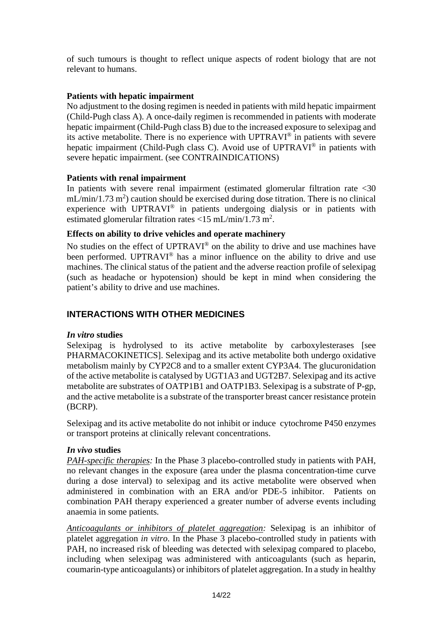of such tumours is thought to reflect unique aspects of rodent biology that are not relevant to humans.

# **Patients with hepatic impairment**

No adjustment to the dosing regimen is needed in patients with mild hepatic impairment (Child-Pugh class A). A once-daily regimen is recommended in patients with moderate hepatic impairment (Child-Pugh class B) due to the increased exposure to selexipag and its active metabolite. There is no experience with UPTRAVI® in patients with severe hepatic impairment (Child-Pugh class C). Avoid use of UPTRAVI® in patients with severe hepatic impairment. (see CONTRAINDICATIONS)

# **Patients with renal impairment**

In patients with severe renal impairment (estimated glomerular filtration rate <30  $mL/min/1.73 m<sup>2</sup>$ ) caution should be exercised during dose titration. There is no clinical experience with UPTRAVI® in patients undergoing dialysis or in patients with estimated glomerular filtration rates <15 mL/min/1.73 m<sup>2</sup>.

## **Effects on ability to drive vehicles and operate machinery**

No studies on the effect of UPTRAVI® on the ability to drive and use machines have been performed. UPTRAVI<sup>®</sup> has a minor influence on the ability to drive and use machines. The clinical status of the patient and the adverse reaction profile of selexipag (such as headache or hypotension) should be kept in mind when considering the patient's ability to drive and use machines.

# **INTERACTIONS WITH OTHER MEDICINES**

## *In vitro* **studies**

Selexipag is hydrolysed to its active metabolite by carboxylesterases [see PHARMACOKINETICS]. Selexipag and its active metabolite both undergo oxidative metabolism mainly by CYP2C8 and to a smaller extent CYP3A4. The glucuronidation of the active metabolite is catalysed by UGT1A3 and UGT2B7. Selexipag and its active metabolite are substrates of OATP1B1 and OATP1B3. Selexipag is a substrate of P-gp, and the active metabolite is a substrate of the transporter breast cancer resistance protein (BCRP).

Selexipag and its active metabolite do not inhibit or induce cytochrome P450 enzymes or transport proteins at clinically relevant concentrations.

## *In vivo* **studies**

*PAH-specific therapies:* In the Phase 3 placebo-controlled study in patients with PAH, no relevant changes in the exposure (area under the plasma concentration-time curve during a dose interval) to selexipag and its active metabolite were observed when administered in combination with an ERA and/or PDE-5 inhibitor. Patients on combination PAH therapy experienced a greater number of adverse events including anaemia in some patients.

*Anticoagulants or inhibitors of platelet aggregation:* Selexipag is an inhibitor of platelet aggregation *in vitro*. In the Phase 3 placebo-controlled study in patients with PAH, no increased risk of bleeding was detected with selexipag compared to placebo, including when selexipag was administered with anticoagulants (such as heparin, coumarin-type anticoagulants) or inhibitors of platelet aggregation. In a study in healthy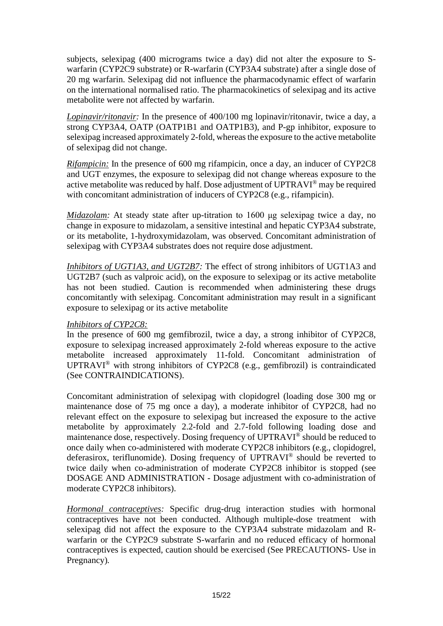subjects, selexipag (400 micrograms twice a day) did not alter the exposure to Swarfarin (CYP2C9 substrate) or R-warfarin (CYP3A4 substrate) after a single dose of 20 mg warfarin. Selexipag did not influence the pharmacodynamic effect of warfarin on the international normalised ratio. The pharmacokinetics of selexipag and its active metabolite were not affected by warfarin.

*Lopinavir/ritonavir:* In the presence of 400/100 mg lopinavir/ritonavir, twice a day, a strong CYP3A4, OATP (OATP1B1 and OATP1B3), and P-gp inhibitor, exposure to selexipag increased approximately 2-fold, whereas the exposure to the active metabolite of selexipag did not change.

*Rifampicin:* In the presence of 600 mg rifampicin, once a day, an inducer of CYP2C8 and UGT enzymes, the exposure to selexipag did not change whereas exposure to the active metabolite was reduced by half. Dose adjustment of UPTRAVI® may be required with concomitant administration of inducers of CYP2C8 (e.g., rifampicin).

*Midazolam:* At steady state after up-titration to 1600 μg selexipag twice a day, no change in exposure to midazolam, a sensitive intestinal and hepatic CYP3A4 substrate, or its metabolite, 1-hydroxymidazolam, was observed. Concomitant administration of selexipag with CYP3A4 substrates does not require dose adjustment.

*Inhibitors of UGT1A3, and UGT2B7:* The effect of strong inhibitors of UGT1A3 and UGT2B7 (such as valproic acid), on the exposure to selexipag or its active metabolite has not been studied. Caution is recommended when administering these drugs concomitantly with selexipag. Concomitant administration may result in a significant exposure to selexipag or its active metabolite

# *Inhibitors of CYP2C8:*

In the presence of 600 mg gemfibrozil, twice a day, a strong inhibitor of CYP2C8, exposure to selexipag increased approximately 2-fold whereas exposure to the active metabolite increased approximately 11-fold. Concomitant administration of UPTRAVI® with strong inhibitors of CYP2C8 (e.g., gemfibrozil) is contraindicated (See CONTRAINDICATIONS).

Concomitant administration of selexipag with clopidogrel (loading dose 300 mg or maintenance dose of 75 mg once a day), a moderate inhibitor of CYP2C8, had no relevant effect on the exposure to selexipag but increased the exposure to the active metabolite by approximately 2.2-fold and 2.7-fold following loading dose and maintenance dose, respectively. Dosing frequency of UPTRAVI® should be reduced to once daily when co-administered with moderate CYP2C8 inhibitors (e.g., clopidogrel, deferasirox, teriflunomide). Dosing frequency of UPTRAVI® should be reverted to twice daily when co-administration of moderate CYP2C8 inhibitor is stopped (see DOSAGE AND ADMINISTRATION - Dosage adjustment with co-administration of moderate CYP2C8 inhibitors).

*Hormonal contraceptives:* Specific drug-drug interaction studies with hormonal contraceptives have not been conducted. Although multiple-dose treatment with selexipag did not affect the exposure to the CYP3A4 substrate midazolam and Rwarfarin or the CYP2C9 substrate S-warfarin and no reduced efficacy of hormonal contraceptives is expected, caution should be exercised (See PRECAUTIONS- Use in Pregnancy)*.*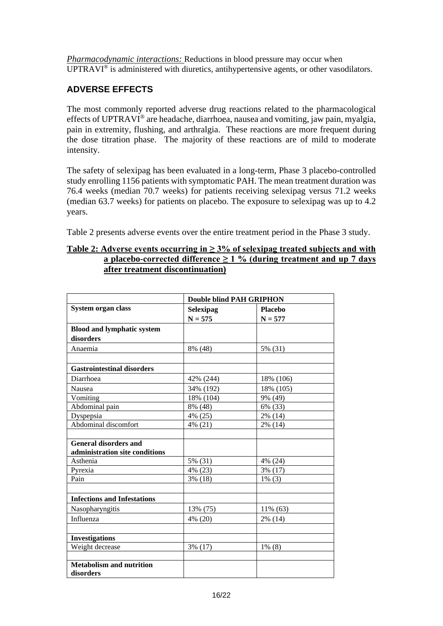*Pharmacodynamic interactions:* Reductions in blood pressure may occur when UPTRAVI® is administered with diuretics, antihypertensive agents, or other vasodilators.

# **ADVERSE EFFECTS**

The most commonly reported adverse drug reactions related to the pharmacological effects of UPTRAVI® are headache, diarrhoea, nausea and vomiting, jaw pain, myalgia, pain in extremity, flushing, and arthralgia. These reactions are more frequent during the dose titration phase. The majority of these reactions are of mild to moderate intensity.

The safety of selexipag has been evaluated in a long-term, Phase 3 placebo-controlled study enrolling 1156 patients with symptomatic PAH. The mean treatment duration was 76.4 weeks (median 70.7 weeks) for patients receiving selexipag versus 71.2 weeks (median 63.7 weeks) for patients on placebo. The exposure to selexipag was up to 4.2 years.

Table 2 presents adverse events over the entire treatment period in the Phase 3 study.

## **Table 2: Adverse events occurring in ≥ 3% of selexipag treated subjects and with a placebo-corrected difference ≥ 1 % (during treatment and up 7 days after treatment discontinuation)**

|                                    | <b>Double blind PAH GRIPHON</b> |                |  |  |
|------------------------------------|---------------------------------|----------------|--|--|
| <b>System organ class</b>          | Selexipag                       | <b>Placebo</b> |  |  |
|                                    | $N = 575$                       | $N = 577$      |  |  |
| <b>Blood and lymphatic system</b>  |                                 |                |  |  |
| disorders                          |                                 |                |  |  |
| Anaemia                            | 8% (48)                         | 5% (31)        |  |  |
|                                    |                                 |                |  |  |
| <b>Gastrointestinal disorders</b>  |                                 |                |  |  |
| Diarrhoea                          | 42% (244)                       | 18% (106)      |  |  |
| Nausea                             | 34% (192)                       | 18% (105)      |  |  |
| Vomiting                           | 18% (104)                       | 9% (49)        |  |  |
| Abdominal pain                     | 8% (48)                         | 6% (33)        |  |  |
| Dyspepsia                          | 4% (25)                         | 2% (14)        |  |  |
| Abdominal discomfort               | 4% (21)                         | 2% (14)        |  |  |
|                                    |                                 |                |  |  |
| <b>General disorders and</b>       |                                 |                |  |  |
| administration site conditions     |                                 |                |  |  |
| Asthenia                           | 5% (31)                         | 4% (24)        |  |  |
| Pyrexia                            | 4% (23)                         | 3% (17)        |  |  |
| Pain                               | $3\%$ (18)                      | $1\%$ (3)      |  |  |
|                                    |                                 |                |  |  |
| <b>Infections and Infestations</b> |                                 |                |  |  |
| Nasopharyngitis                    | 13% (75)                        | 11% (63)       |  |  |
| Influenza                          | 4% (20)                         | 2% (14)        |  |  |
|                                    |                                 |                |  |  |
| <b>Investigations</b>              |                                 |                |  |  |
| Weight decrease                    | 3% (17)                         | $1\%$ (8)      |  |  |
|                                    |                                 |                |  |  |
| <b>Metabolism and nutrition</b>    |                                 |                |  |  |
| disorders                          |                                 |                |  |  |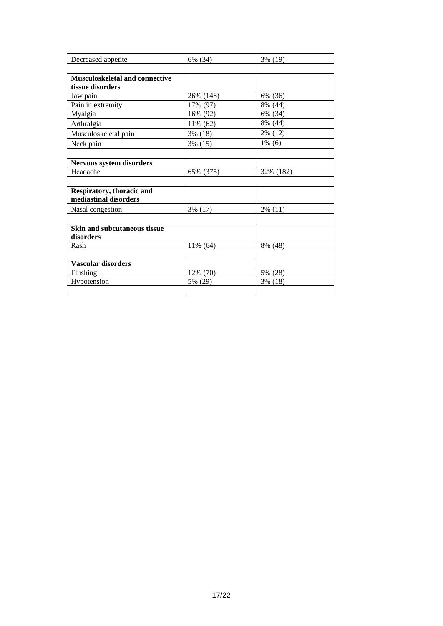| Decreased appetite                    | 6% (34)    | 3% (19)    |
|---------------------------------------|------------|------------|
|                                       |            |            |
| <b>Musculoskeletal and connective</b> |            |            |
| tissue disorders                      |            |            |
| Jaw pain                              | 26% (148)  | 6% (36)    |
| Pain in extremity                     | 17% (97)   | 8% (44)    |
| Myalgia                               | 16% (92)   | 6% (34)    |
| Arthralgia                            | 11% (62)   | 8% (44)    |
| Musculoskeletal pain                  | 3% (18)    | 2% (12)    |
| Neck pain                             | $3\%$ (15) | $1\%$ (6)  |
|                                       |            |            |
| <b>Nervous system disorders</b>       |            |            |
| Headache                              | 65% (375)  | 32% (182)  |
|                                       |            |            |
| Respiratory, thoracic and             |            |            |
| mediastinal disorders                 |            |            |
| Nasal congestion                      | $3\%$ (17) | $2\%$ (11) |
|                                       |            |            |
| Skin and subcutaneous tissue          |            |            |
| disorders                             |            |            |
| Rash                                  | 11% (64)   | 8% (48)    |
|                                       |            |            |
| <b>Vascular disorders</b>             |            |            |
| Flushing                              | 12% (70)   | 5% (28)    |
| Hypotension                           | 5% (29)    | 3% (18)    |
|                                       |            |            |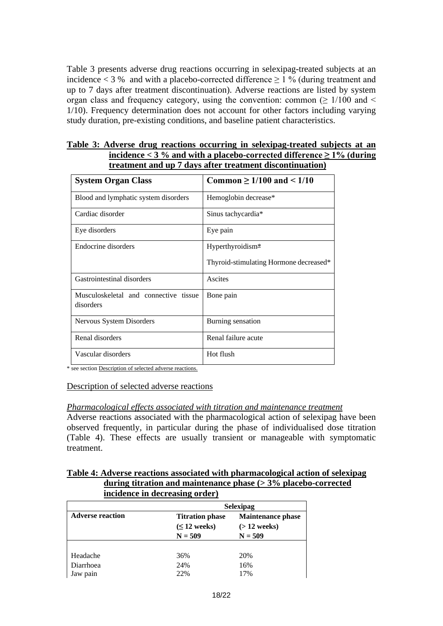Table 3 presents adverse drug reactions occurring in selexipag-treated subjects at an incidence  $<$  3 % and with a placebo-corrected difference  $>$  1 % (during treatment and up to 7 days after treatment discontinuation). Adverse reactions are listed by system organ class and frequency category, using the convention: common ( $\geq 1/100$  and  $\leq$ 1/10). Frequency determination does not account for other factors including varying study duration, pre-existing conditions, and baseline patient characteristics.

| Table 3: Adverse drug reactions occurring in selexipag-treated subjects at an |
|-------------------------------------------------------------------------------|
| incidence $<$ 3 % and with a placebo-corrected difference $\geq$ 1% (during   |
| treatment and up 7 days after treatment discontinuation)                      |

| <b>System Organ Class</b>                          | Common $\geq 1/100$ and $\leq 1/10$    |
|----------------------------------------------------|----------------------------------------|
| Blood and lymphatic system disorders               | Hemoglobin decrease*                   |
| Cardiac disorder                                   | Sinus tachycardia*                     |
| Eye disorders                                      | Eye pain                               |
| Endocrine disorders                                | Hyperthyroidism <sup>*</sup>           |
|                                                    | Thyroid-stimulating Hormone decreased* |
| Gastrointestinal disorders                         | Ascites                                |
| Musculoskeletal and connective tissue<br>disorders | Bone pain                              |
| Nervous System Disorders                           | Burning sensation                      |
| Renal disorders                                    | Renal failure acute                    |
| Vascular disorders                                 | Hot flush                              |

\* see section Description of selected adverse reactions.

#### Description of selected adverse reactions

#### *Pharmacological effects associated with titration and maintenance treatment*

Adverse reactions associated with the pharmacological action of selexipag have been observed frequently, in particular during the phase of individualised dose titration (Table 4). These effects are usually transient or manageable with symptomatic treatment.

## **Table 4: Adverse reactions associated with pharmacological action of selexipag during titration and maintenance phase (> 3% placebo-corrected incidence in decreasing order)**

|                         | <b>Selexipag</b>                                         |                                                          |  |
|-------------------------|----------------------------------------------------------|----------------------------------------------------------|--|
| <b>Adverse reaction</b> | <b>Titration phase</b><br>$(\leq 12$ weeks)<br>$N = 509$ | <b>Maintenance phase</b><br>$($ > 12 weeks)<br>$N = 509$ |  |
|                         |                                                          |                                                          |  |
| Headache                | 36%                                                      | 20%                                                      |  |
| Diarrhoea               | 24%                                                      | 16%                                                      |  |
| Jaw pain                | 22%                                                      | 17%                                                      |  |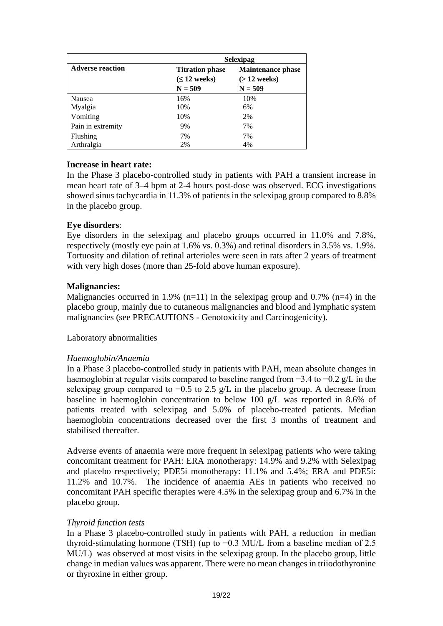|                         | <b>Selexipag</b>                                         |                                                          |  |  |
|-------------------------|----------------------------------------------------------|----------------------------------------------------------|--|--|
| <b>Adverse reaction</b> | <b>Titration phase</b><br>$(\leq 12$ weeks)<br>$N = 509$ | <b>Maintenance phase</b><br>$($ > 12 weeks)<br>$N = 509$ |  |  |
| Nausea                  | 16%                                                      | 10%                                                      |  |  |
| Myalgia                 | 10%                                                      | 6%                                                       |  |  |
| Vomiting                | 10%                                                      | 2%                                                       |  |  |
| Pain in extremity       | 9%                                                       | 7%                                                       |  |  |
| Flushing                | 7%                                                       | 7%                                                       |  |  |
| Arthralgia              | 2%                                                       | 4%                                                       |  |  |

## **Increase in heart rate:**

In the Phase 3 placebo-controlled study in patients with PAH a transient increase in mean heart rate of 3–4 bpm at 2-4 hours post-dose was observed. ECG investigations showed sinus tachycardia in 11.3% of patients in the selexipag group compared to 8.8% in the placebo group.

## **Eye disorders**:

Eye disorders in the selexipag and placebo groups occurred in 11.0% and 7.8%, respectively (mostly eye pain at 1.6% vs. 0.3%) and retinal disorders in 3.5% vs. 1.9%. Tortuosity and dilation of retinal arterioles were seen in rats after 2 years of treatment with very high doses (more than 25-fold above human exposure).

## **Malignancies:**

Malignancies occurred in 1.9% (n=11) in the selexipag group and 0.7% (n=4) in the placebo group, mainly due to cutaneous malignancies and blood and lymphatic system malignancies (see PRECAUTIONS - Genotoxicity and Carcinogenicity).

## Laboratory abnormalities

## *Haemoglobin/Anaemia*

In a Phase 3 placebo-controlled study in patients with PAH, mean absolute changes in haemoglobin at regular visits compared to baseline ranged from −3.4 to −0.2 g/L in the selexipag group compared to −0.5 to 2.5 g/L in the placebo group. A decrease from baseline in haemoglobin concentration to below 100 g/L was reported in 8.6% of patients treated with selexipag and 5.0% of placebo-treated patients. Median haemoglobin concentrations decreased over the first 3 months of treatment and stabilised thereafter.

Adverse events of anaemia were more frequent in selexipag patients who were taking concomitant treatment for PAH: ERA monotherapy: 14.9% and 9.2% with Selexipag and placebo respectively; PDE5i monotherapy: 11.1% and 5.4%; ERA and PDE5i: 11.2% and 10.7%. The incidence of anaemia AEs in patients who received no concomitant PAH specific therapies were 4.5% in the selexipag group and 6.7% in the placebo group.

## *Thyroid function tests*

In a Phase 3 placebo-controlled study in patients with PAH, a reduction in median thyroid-stimulating hormone (TSH) (up to  $-0.3$  MU/L from a baseline median of 2.5 MU/L) was observed at most visits in the selexipag group. In the placebo group, little change in median values was apparent. There were no mean changes in triiodothyronine or thyroxine in either group.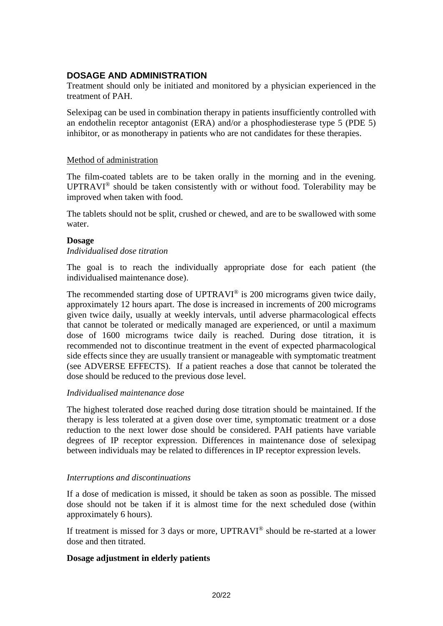# **DOSAGE AND ADMINISTRATION**

Treatment should only be initiated and monitored by a physician experienced in the treatment of PAH.

Selexipag can be used in combination therapy in patients insufficiently controlled with an endothelin receptor antagonist (ERA) and/or a phosphodiesterase type 5 (PDE 5) inhibitor, or as monotherapy in patients who are not candidates for these therapies.

## Method of administration

The film-coated tablets are to be taken orally in the morning and in the evening. UPTRAVI® should be taken consistently with or without food. Tolerability may be improved when taken with food.

The tablets should not be split, crushed or chewed, and are to be swallowed with some water.

#### **Dosage**

#### *Individualised dose titration*

The goal is to reach the individually appropriate dose for each patient (the individualised maintenance dose).

The recommended starting dose of UPTRAVI<sup>®</sup> is 200 micrograms given twice daily, approximately 12 hours apart. The dose is increased in increments of 200 micrograms given twice daily, usually at weekly intervals, until adverse pharmacological effects that cannot be tolerated or medically managed are experienced, or until a maximum dose of 1600 micrograms twice daily is reached. During dose titration, it is recommended not to discontinue treatment in the event of expected pharmacological side effects since they are usually transient or manageable with symptomatic treatment (see ADVERSE EFFECTS). If a patient reaches a dose that cannot be tolerated the dose should be reduced to the previous dose level.

## *Individualised maintenance dose*

The highest tolerated dose reached during dose titration should be maintained. If the therapy is less tolerated at a given dose over time, symptomatic treatment or a dose reduction to the next lower dose should be considered. PAH patients have variable degrees of IP receptor expression. Differences in maintenance dose of selexipag between individuals may be related to differences in IP receptor expression levels.

## *Interruptions and discontinuations*

If a dose of medication is missed, it should be taken as soon as possible. The missed dose should not be taken if it is almost time for the next scheduled dose (within approximately 6 hours).

If treatment is missed for 3 days or more, UPTRAVI® should be re-started at a lower dose and then titrated.

## **Dosage adjustment in elderly patients**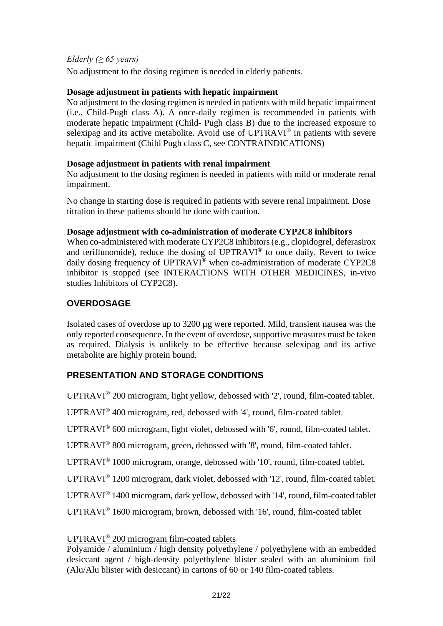# *Elderly (≥ 65 years)*

No adjustment to the dosing regimen is needed in elderly patients.

# **Dosage adjustment in patients with hepatic impairment**

No adjustment to the dosing regimen is needed in patients with mild hepatic impairment (i.e., Child-Pugh class A). A once-daily regimen is recommended in patients with moderate hepatic impairment (Child- Pugh class B) due to the increased exposure to selexipag and its active metabolite. Avoid use of UPTRAVI<sup>®</sup> in patients with severe hepatic impairment (Child Pugh class C, see CONTRAINDICATIONS)

# **Dosage adjustment in patients with renal impairment**

No adjustment to the dosing regimen is needed in patients with mild or moderate renal impairment.

No change in starting dose is required in patients with severe renal impairment. Dose titration in these patients should be done with caution.

# **Dosage adjustment with co-administration of moderate CYP2C8 inhibitors**

When co-administered with moderate CYP2C8 inhibitors (e.g., clopidogrel, deferasirox and teriflunomide), reduce the dosing of UPTRAVI® to once daily. Revert to twice daily dosing frequency of UPTRAVI<sup>®</sup> when co-administration of moderate CYP2C8 inhibitor is stopped (see INTERACTIONS WITH OTHER MEDICINES, in-vivo studies Inhibitors of CYP2C8).

# **OVERDOSAGE**

Isolated cases of overdose up to 3200 µg were reported. Mild, transient nausea was the only reported consequence. In the event of overdose, supportive measures must be taken as required. Dialysis is unlikely to be effective because selexipag and its active metabolite are highly protein bound.

# **PRESENTATION AND STORAGE CONDITIONS**

UPTRAVI® 200 microgram, light yellow, debossed with '2', round, film-coated tablet.

UPTRAVI® 400 microgram, red, debossed with '4', round, film-coated tablet.

UPTRAVI® 600 microgram, light violet, debossed with '6', round, film-coated tablet.

UPTRAVI® 800 microgram, green, debossed with '8', round, film-coated tablet.

UPTRAVI® 1000 microgram, orange, debossed with '10', round, film-coated tablet.

UPTRAVI® 1200 microgram, dark violet, debossed with '12', round, film-coated tablet.

UPTRAVI® 1400 microgram, dark yellow, debossed with '14', round, film-coated tablet

UPTRAVI® 1600 microgram, brown, debossed with '16', round, film-coated tablet

# UPTRAVI® 200 microgram film-coated tablets

Polyamide / aluminium / high density polyethylene / polyethylene with an embedded desiccant agent / high-density polyethylene blister sealed with an aluminium foil (Alu/Alu blister with desiccant) in cartons of 60 or 140 film-coated tablets.